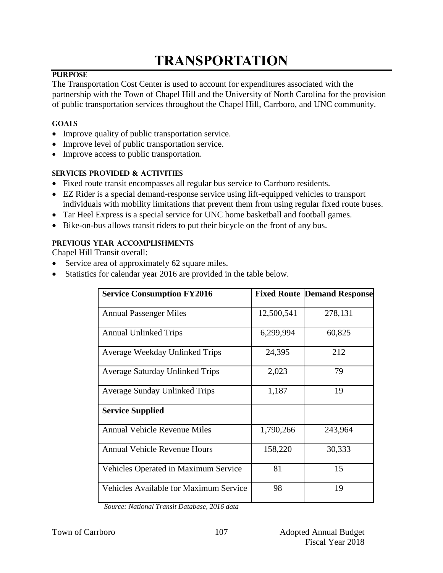# **TRANSPORTATION**

## **PURPOSE**

The Transportation Cost Center is used to account for expenditures associated with the partnership with the Town of Chapel Hill and the University of North Carolina for the provision of public transportation services throughout the Chapel Hill, Carrboro, and UNC community.

#### **GOALS**

- Improve quality of public transportation service.
- Improve level of public transportation service.
- Improve access to public transportation.

#### **SERVICES PROVIDED & ACTIVITIES**

- Fixed route transit encompasses all regular bus service to Carrboro residents.
- EZ Rider is a special demand-response service using lift-equipped vehicles to transport individuals with mobility limitations that prevent them from using regular fixed route buses.
- Tar Heel Express is a special service for UNC home basketball and football games.
- Bike-on-bus allows transit riders to put their bicycle on the front of any bus.

## **PREVIOUS YEAR ACCOMPLISHMENTS**

Chapel Hill Transit overall:

- Service area of approximately 62 square miles.
- Statistics for calendar year 2016 are provided in the table below.

| <b>Service Consumption FY2016</b>      |            | <b>Fixed Route Demand Response</b> |
|----------------------------------------|------------|------------------------------------|
| <b>Annual Passenger Miles</b>          | 12,500,541 | 278,131                            |
| <b>Annual Unlinked Trips</b>           | 6,299,994  | 60,825                             |
| Average Weekday Unlinked Trips         | 24,395     | 212                                |
| <b>Average Saturday Unlinked Trips</b> | 2,023      | 79                                 |
| <b>Average Sunday Unlinked Trips</b>   | 1,187      | 19                                 |
| <b>Service Supplied</b>                |            |                                    |
| <b>Annual Vehicle Revenue Miles</b>    | 1,790,266  | 243,964                            |
| <b>Annual Vehicle Revenue Hours</b>    | 158,220    | 30,333                             |
| Vehicles Operated in Maximum Service   | 81         | 15                                 |
| Vehicles Available for Maximum Service | 98         | 19                                 |

*Source: National Transit Database, 2016 data*